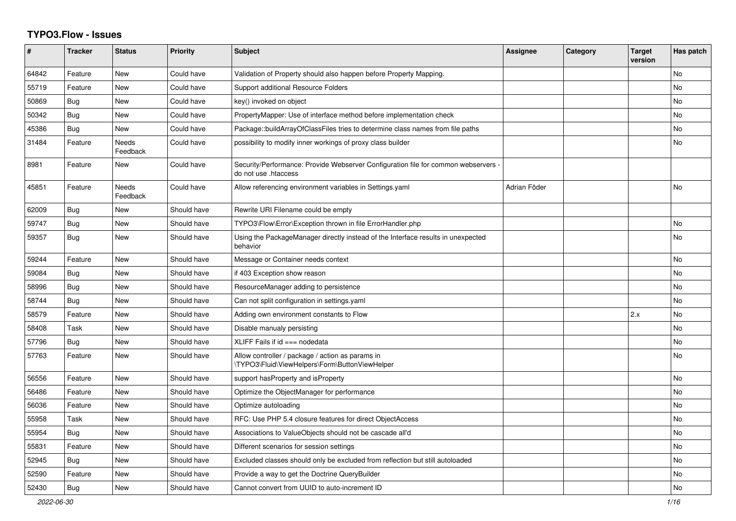## **TYPO3.Flow - Issues**

| #     | <b>Tracker</b> | <b>Status</b>            | <b>Priority</b> | <b>Subject</b>                                                                                             | <b>Assignee</b> | Category | <b>Target</b><br>version | Has patch      |
|-------|----------------|--------------------------|-----------------|------------------------------------------------------------------------------------------------------------|-----------------|----------|--------------------------|----------------|
| 64842 | Feature        | New                      | Could have      | Validation of Property should also happen before Property Mapping.                                         |                 |          |                          | No             |
| 55719 | Feature        | New                      | Could have      | Support additional Resource Folders                                                                        |                 |          |                          | No             |
| 50869 | Bug            | New                      | Could have      | key() invoked on object                                                                                    |                 |          |                          | No             |
| 50342 | Bug            | <b>New</b>               | Could have      | PropertyMapper: Use of interface method before implementation check                                        |                 |          |                          | N <sub>o</sub> |
| 45386 | Bug            | <b>New</b>               | Could have      | Package::buildArrayOfClassFiles tries to determine class names from file paths                             |                 |          |                          | N <sub>o</sub> |
| 31484 | Feature        | <b>Needs</b><br>Feedback | Could have      | possibility to modify inner workings of proxy class builder                                                |                 |          |                          | N <sub>o</sub> |
| 8981  | Feature        | <b>New</b>               | Could have      | Security/Performance: Provide Webserver Configuration file for common webservers -<br>do not use .htaccess |                 |          |                          |                |
| 45851 | Feature        | <b>Needs</b><br>Feedback | Could have      | Allow referencing environment variables in Settings.yaml                                                   | Adrian Föder    |          |                          | N <sub>o</sub> |
| 62009 | Bug            | New                      | Should have     | Rewrite URI Filename could be empty                                                                        |                 |          |                          |                |
| 59747 | Bug            | New                      | Should have     | TYPO3\Flow\Error\Exception thrown in file ErrorHandler.php                                                 |                 |          |                          | No             |
| 59357 | Bug            | New                      | Should have     | Using the PackageManager directly instead of the Interface results in unexpected<br>behavior               |                 |          |                          | No.            |
| 59244 | Feature        | New                      | Should have     | Message or Container needs context                                                                         |                 |          |                          | No             |
| 59084 | Bug            | New                      | Should have     | if 403 Exception show reason                                                                               |                 |          |                          | No             |
| 58996 | Bug            | <b>New</b>               | Should have     | ResourceManager adding to persistence                                                                      |                 |          |                          | No             |
| 58744 | <b>Bug</b>     | <b>New</b>               | Should have     | Can not split configuration in settings.yaml                                                               |                 |          |                          | N <sub>o</sub> |
| 58579 | Feature        | <b>New</b>               | Should have     | Adding own environment constants to Flow                                                                   |                 |          | 2.x                      | No             |
| 58408 | Task           | New                      | Should have     | Disable manualy persisting                                                                                 |                 |          |                          | No             |
| 57796 | Bug            | New                      | Should have     | XLIFF Fails if $id == node data$                                                                           |                 |          |                          | No             |
| 57763 | Feature        | New                      | Should have     | Allow controller / package / action as params in<br>\TYPO3\Fluid\ViewHelpers\Form\ButtonViewHelper         |                 |          |                          | No             |
| 56556 | Feature        | New                      | Should have     | support has Property and is Property                                                                       |                 |          |                          | No             |
| 56486 | Feature        | New                      | Should have     | Optimize the ObjectManager for performance                                                                 |                 |          |                          | No             |
| 56036 | Feature        | New                      | Should have     | Optimize autoloading                                                                                       |                 |          |                          | No             |
| 55958 | Task           | <b>New</b>               | Should have     | RFC: Use PHP 5.4 closure features for direct ObjectAccess                                                  |                 |          |                          | N <sub>o</sub> |
| 55954 | Bug            | <b>New</b>               | Should have     | Associations to ValueObjects should not be cascade all'd                                                   |                 |          |                          | N <sub>o</sub> |
| 55831 | Feature        | New                      | Should have     | Different scenarios for session settings                                                                   |                 |          |                          | No             |
| 52945 | <b>Bug</b>     | New                      | Should have     | Excluded classes should only be excluded from reflection but still autoloaded                              |                 |          |                          | No             |
| 52590 | Feature        | New                      | Should have     | Provide a way to get the Doctrine QueryBuilder                                                             |                 |          |                          | No             |
| 52430 | <b>Bug</b>     | <b>New</b>               | Should have     | Cannot convert from UUID to auto-increment ID                                                              |                 |          |                          | <b>No</b>      |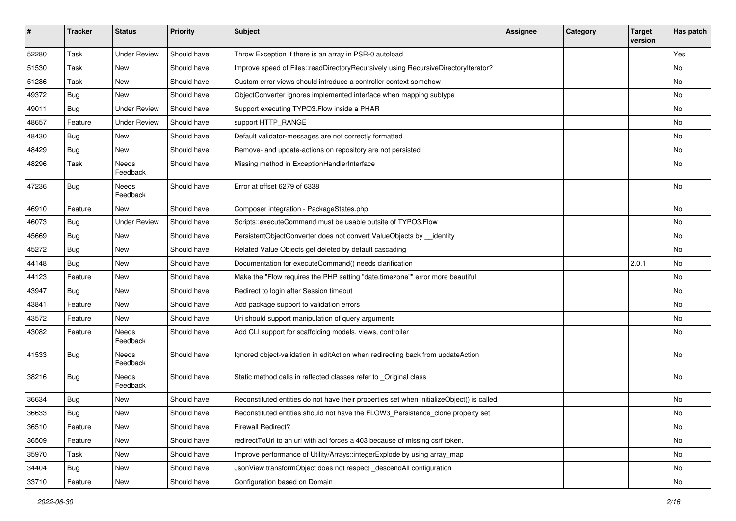| #     | <b>Tracker</b> | <b>Status</b>       | <b>Priority</b> | Subject                                                                                   | <b>Assignee</b> | Category | <b>Target</b><br>version | Has patch |
|-------|----------------|---------------------|-----------------|-------------------------------------------------------------------------------------------|-----------------|----------|--------------------------|-----------|
| 52280 | Task           | <b>Under Review</b> | Should have     | Throw Exception if there is an array in PSR-0 autoload                                    |                 |          |                          | Yes       |
| 51530 | Task           | New                 | Should have     | Improve speed of Files::readDirectoryRecursively using RecursiveDirectoryIterator?        |                 |          |                          | No        |
| 51286 | Task           | New                 | Should have     | Custom error views should introduce a controller context somehow                          |                 |          |                          | No        |
| 49372 | <b>Bug</b>     | New                 | Should have     | ObjectConverter ignores implemented interface when mapping subtype                        |                 |          |                          | No        |
| 49011 | <b>Bug</b>     | <b>Under Review</b> | Should have     | Support executing TYPO3. Flow inside a PHAR                                               |                 |          |                          | No        |
| 48657 | Feature        | <b>Under Review</b> | Should have     | support HTTP_RANGE                                                                        |                 |          |                          | <b>No</b> |
| 48430 | <b>Bug</b>     | New                 | Should have     | Default validator-messages are not correctly formatted                                    |                 |          |                          | No        |
| 48429 | Bug            | New                 | Should have     | Remove- and update-actions on repository are not persisted                                |                 |          |                          | No        |
| 48296 | Task           | Needs<br>Feedback   | Should have     | Missing method in ExceptionHandlerInterface                                               |                 |          |                          | No        |
| 47236 | <b>Bug</b>     | Needs<br>Feedback   | Should have     | Error at offset 6279 of 6338                                                              |                 |          |                          | No        |
| 46910 | Feature        | New                 | Should have     | Composer integration - PackageStates.php                                                  |                 |          |                          | No        |
| 46073 | <b>Bug</b>     | <b>Under Review</b> | Should have     | Scripts::executeCommand must be usable outsite of TYPO3.Flow                              |                 |          |                          | <b>No</b> |
| 45669 | <b>Bug</b>     | New                 | Should have     | PersistentObjectConverter does not convert ValueObjects by identity                       |                 |          |                          | No        |
| 45272 | <b>Bug</b>     | New                 | Should have     | Related Value Objects get deleted by default cascading                                    |                 |          |                          | No        |
| 44148 | Bug            | New                 | Should have     | Documentation for executeCommand() needs clarification                                    |                 |          | 2.0.1                    | No        |
| 44123 | Feature        | New                 | Should have     | Make the "Flow requires the PHP setting "date.timezone"" error more beautiful             |                 |          |                          | No        |
| 43947 | <b>Bug</b>     | New                 | Should have     | Redirect to login after Session timeout                                                   |                 |          |                          | No        |
| 43841 | Feature        | New                 | Should have     | Add package support to validation errors                                                  |                 |          |                          | No        |
| 43572 | Feature        | New                 | Should have     | Uri should support manipulation of query arguments                                        |                 |          |                          | No        |
| 43082 | Feature        | Needs<br>Feedback   | Should have     | Add CLI support for scaffolding models, views, controller                                 |                 |          |                          | No        |
| 41533 | <b>Bug</b>     | Needs<br>Feedback   | Should have     | Ignored object-validation in editAction when redirecting back from updateAction           |                 |          |                          | <b>No</b> |
| 38216 | <b>Bug</b>     | Needs<br>Feedback   | Should have     | Static method calls in reflected classes refer to _Original class                         |                 |          |                          | No        |
| 36634 | <b>Bug</b>     | New                 | Should have     | Reconstituted entities do not have their properties set when initializeObject() is called |                 |          |                          | No        |
| 36633 | Bug            | New                 | Should have     | Reconstituted entities should not have the FLOW3 Persistence clone property set           |                 |          |                          | No        |
| 36510 | Feature        | New                 | Should have     | Firewall Redirect?                                                                        |                 |          |                          | No        |
| 36509 | Feature        | New                 | Should have     | redirectToUri to an uri with acl forces a 403 because of missing csrf token.              |                 |          |                          | No        |
| 35970 | Task           | New                 | Should have     | Improve performance of Utility/Arrays::integerExplode by using array_map                  |                 |          |                          | No        |
| 34404 | Bug            | New                 | Should have     | JsonView transformObject does not respect _descendAll configuration                       |                 |          |                          | No        |
| 33710 | Feature        | New                 | Should have     | Configuration based on Domain                                                             |                 |          |                          | No        |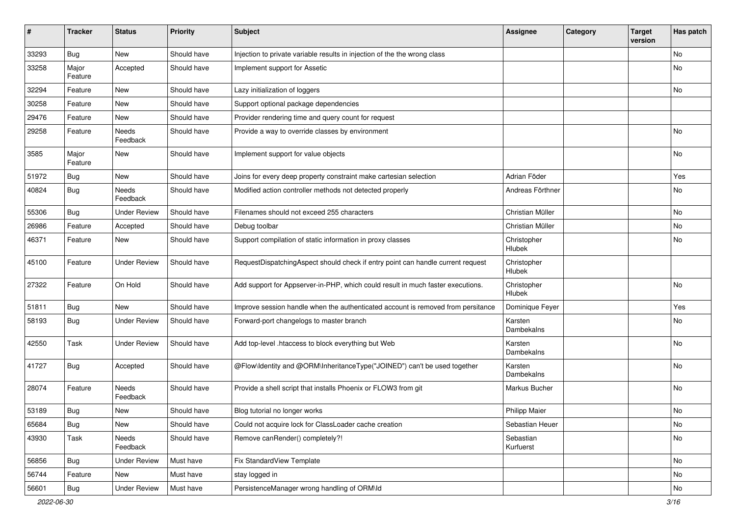| ∦     | <b>Tracker</b>   | <b>Status</b>            | <b>Priority</b> | <b>Subject</b>                                                                   | Assignee               | Category | <b>Target</b><br>version | Has patch |
|-------|------------------|--------------------------|-----------------|----------------------------------------------------------------------------------|------------------------|----------|--------------------------|-----------|
| 33293 | Bug              | New                      | Should have     | Injection to private variable results in injection of the the wrong class        |                        |          |                          | No        |
| 33258 | Major<br>Feature | Accepted                 | Should have     | Implement support for Assetic                                                    |                        |          |                          | No        |
| 32294 | Feature          | <b>New</b>               | Should have     | Lazy initialization of loggers                                                   |                        |          |                          | <b>No</b> |
| 30258 | Feature          | New                      | Should have     | Support optional package dependencies                                            |                        |          |                          |           |
| 29476 | Feature          | New                      | Should have     | Provider rendering time and query count for request                              |                        |          |                          |           |
| 29258 | Feature          | Needs<br>Feedback        | Should have     | Provide a way to override classes by environment                                 |                        |          |                          | No        |
| 3585  | Major<br>Feature | New                      | Should have     | Implement support for value objects                                              |                        |          |                          | No        |
| 51972 | Bug              | New                      | Should have     | Joins for every deep property constraint make cartesian selection                | Adrian Föder           |          |                          | Yes       |
| 40824 | Bug              | <b>Needs</b><br>Feedback | Should have     | Modified action controller methods not detected properly                         | Andreas Förthner       |          |                          | No        |
| 55306 | Bug              | <b>Under Review</b>      | Should have     | Filenames should not exceed 255 characters                                       | Christian Müller       |          |                          | No        |
| 26986 | Feature          | Accepted                 | Should have     | Debug toolbar                                                                    | Christian Müller       |          |                          | No        |
| 46371 | Feature          | New                      | Should have     | Support compilation of static information in proxy classes                       | Christopher<br>Hlubek  |          |                          | No        |
| 45100 | Feature          | <b>Under Review</b>      | Should have     | RequestDispatchingAspect should check if entry point can handle current request  | Christopher<br>Hlubek  |          |                          |           |
| 27322 | Feature          | On Hold                  | Should have     | Add support for Appserver-in-PHP, which could result in much faster executions.  | Christopher<br>Hlubek  |          |                          | No        |
| 51811 | <b>Bug</b>       | New                      | Should have     | Improve session handle when the authenticated account is removed from persitance | Dominique Feyer        |          |                          | Yes       |
| 58193 | Bug              | <b>Under Review</b>      | Should have     | Forward-port changelogs to master branch                                         | Karsten<br>Dambekalns  |          |                          | No        |
| 42550 | Task             | <b>Under Review</b>      | Should have     | Add top-level .htaccess to block everything but Web                              | Karsten<br>Dambekalns  |          |                          | No        |
| 41727 | Bug              | Accepted                 | Should have     | @Flow\Identity and @ORM\InheritanceType("JOINED") can't be used together         | Karsten<br>Dambekalns  |          |                          | No        |
| 28074 | Feature          | Needs<br>Feedback        | Should have     | Provide a shell script that installs Phoenix or FLOW3 from git                   | Markus Bucher          |          |                          | No        |
| 53189 | <b>Bug</b>       | New                      | Should have     | Blog tutorial no longer works                                                    | <b>Philipp Maier</b>   |          |                          | No        |
| 65684 | <b>Bug</b>       | New                      | Should have     | Could not acquire lock for ClassLoader cache creation                            | Sebastian Heuer        |          |                          | No        |
| 43930 | Task             | Needs<br>Feedback        | Should have     | Remove canRender() completely?!                                                  | Sebastian<br>Kurfuerst |          |                          | No        |
| 56856 | Bug              | <b>Under Review</b>      | Must have       | Fix StandardView Template                                                        |                        |          |                          | No        |
| 56744 | Feature          | New                      | Must have       | stay logged in                                                                   |                        |          |                          | No        |
| 56601 | Bug              | <b>Under Review</b>      | Must have       | PersistenceManager wrong handling of ORM\ld                                      |                        |          |                          | No        |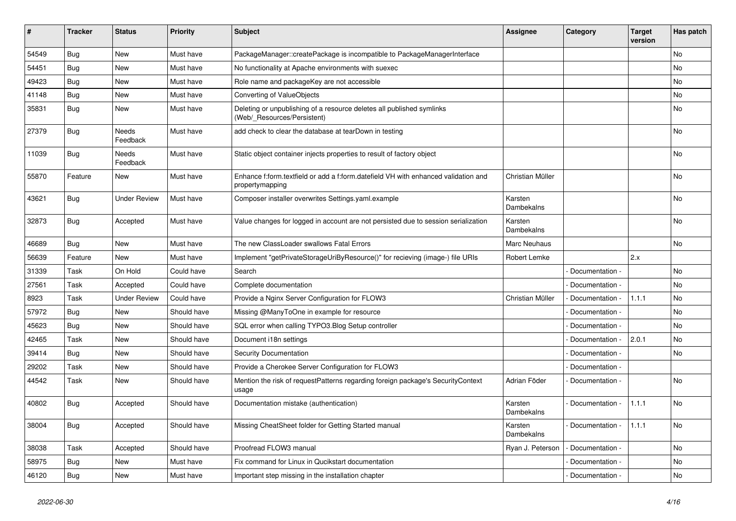| ∦     | <b>Tracker</b> | <b>Status</b>       | <b>Priority</b> | <b>Subject</b>                                                                                        | <b>Assignee</b>       | Category        | <b>Target</b><br>version | Has patch |
|-------|----------------|---------------------|-----------------|-------------------------------------------------------------------------------------------------------|-----------------------|-----------------|--------------------------|-----------|
| 54549 | Bug            | <b>New</b>          | Must have       | PackageManager::createPackage is incompatible to PackageManagerInterface                              |                       |                 |                          | <b>No</b> |
| 54451 | Bug            | New                 | Must have       | No functionality at Apache environments with suexec                                                   |                       |                 |                          | No        |
| 49423 | Bug            | New                 | Must have       | Role name and packageKey are not accessible                                                           |                       |                 |                          | No.       |
| 41148 | Bug            | <b>New</b>          | Must have       | Converting of ValueObjects                                                                            |                       |                 |                          | No.       |
| 35831 | Bug            | <b>New</b>          | Must have       | Deleting or unpublishing of a resource deletes all published symlinks<br>(Web/ Resources/Persistent)  |                       |                 |                          | <b>No</b> |
| 27379 | <b>Bug</b>     | Needs<br>Feedback   | Must have       | add check to clear the database at tearDown in testing                                                |                       |                 |                          | No        |
| 11039 | <b>Bug</b>     | Needs<br>Feedback   | Must have       | Static object container injects properties to result of factory object                                |                       |                 |                          | No        |
| 55870 | Feature        | <b>New</b>          | Must have       | Enhance f:form.textfield or add a f:form.datefield VH with enhanced validation and<br>propertymapping | Christian Müller      |                 |                          | <b>No</b> |
| 43621 | Bug            | <b>Under Review</b> | Must have       | Composer installer overwrites Settings.yaml.example                                                   | Karsten<br>Dambekalns |                 |                          | <b>No</b> |
| 32873 | Bug            | Accepted            | Must have       | Value changes for logged in account are not persisted due to session serialization                    | Karsten<br>Dambekalns |                 |                          | No        |
| 46689 | Bug            | <b>New</b>          | Must have       | The new ClassLoader swallows Fatal Errors                                                             | Marc Neuhaus          |                 |                          | <b>No</b> |
| 56639 | Feature        | <b>New</b>          | Must have       | Implement "getPrivateStorageUriByResource()" for recieving (image-) file URIs                         | Robert Lemke          |                 | 2.x                      |           |
| 31339 | Task           | On Hold             | Could have      | Search                                                                                                |                       | Documentation - |                          | <b>No</b> |
| 27561 | Task           | Accepted            | Could have      | Complete documentation                                                                                |                       | Documentation - |                          | <b>No</b> |
| 8923  | Task           | <b>Under Review</b> | Could have      | Provide a Nginx Server Configuration for FLOW3                                                        | Christian Müller      | Documentation - | 1.1.1                    | <b>No</b> |
| 57972 | Bug            | <b>New</b>          | Should have     | Missing @ManyToOne in example for resource                                                            |                       | Documentation - |                          | <b>No</b> |
| 45623 | Bug            | New                 | Should have     | SQL error when calling TYPO3.Blog Setup controller                                                    |                       | Documentation - |                          | No        |
| 42465 | Task           | New                 | Should have     | Document i18n settings                                                                                |                       | Documentation - | 2.0.1                    | No        |
| 39414 | Bug            | <b>New</b>          | Should have     | <b>Security Documentation</b>                                                                         |                       | Documentation - |                          | No        |
| 29202 | Task           | New                 | Should have     | Provide a Cherokee Server Configuration for FLOW3                                                     |                       | Documentation - |                          |           |
| 44542 | Task           | New                 | Should have     | Mention the risk of requestPatterns regarding foreign package's SecurityContext<br>usage              | Adrian Föder          | Documentation - |                          | No        |
| 40802 | Bug            | Accepted            | Should have     | Documentation mistake (authentication)                                                                | Karsten<br>Dambekalns | Documentation - | 1.1.1                    | <b>No</b> |
| 38004 | Bug            | Accepted            | Should have     | Missing CheatSheet folder for Getting Started manual                                                  | Karsten<br>Dambekalns | Documentation - | 1.1.1                    | <b>No</b> |
| 38038 | Task           | Accepted            | Should have     | Proofread FLOW3 manual                                                                                | Ryan J. Peterson      | Documentation - |                          | No        |
| 58975 | Bug            | <b>New</b>          | Must have       | Fix command for Linux in Qucikstart documentation                                                     |                       | Documentation - |                          | No        |
| 46120 | Bug            | New                 | Must have       | Important step missing in the installation chapter                                                    |                       | Documentation - |                          | No        |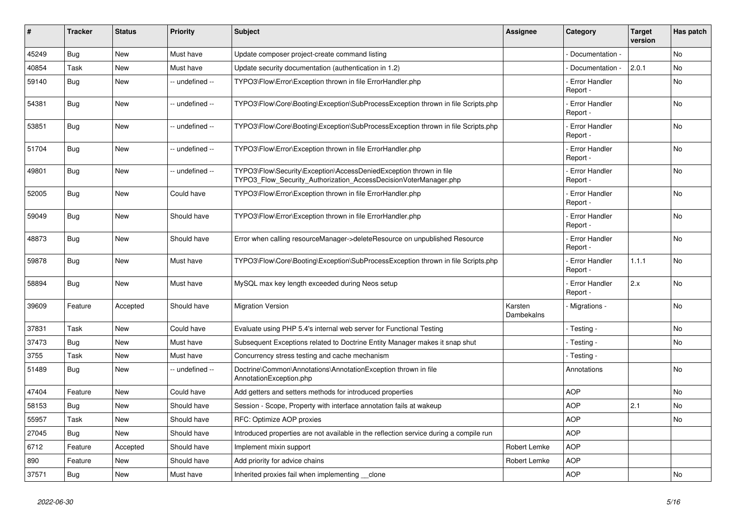| #     | <b>Tracker</b> | <b>Status</b> | <b>Priority</b> | <b>Subject</b>                                                                                                                         | <b>Assignee</b>       | Category                         | <b>Target</b><br>version | Has patch      |
|-------|----------------|---------------|-----------------|----------------------------------------------------------------------------------------------------------------------------------------|-----------------------|----------------------------------|--------------------------|----------------|
| 45249 | Bug            | <b>New</b>    | Must have       | Update composer project-create command listing                                                                                         |                       | Documentation -                  |                          | <b>No</b>      |
| 40854 | Task           | New           | Must have       | Update security documentation (authentication in 1.2)                                                                                  |                       | Documentation -                  | 2.0.1                    | <b>No</b>      |
| 59140 | Bug            | New           | -- undefined -- | TYPO3\Flow\Error\Exception thrown in file ErrorHandler.php                                                                             |                       | <b>Error Handler</b><br>Report - |                          | <b>No</b>      |
| 54381 | Bug            | <b>New</b>    | -- undefined -- | TYPO3\Flow\Core\Booting\Exception\SubProcessException thrown in file Scripts.php                                                       |                       | <b>Error Handler</b><br>Report - |                          | <b>No</b>      |
| 53851 | Bug            | <b>New</b>    | -- undefined -- | TYPO3\Flow\Core\Booting\Exception\SubProcessException thrown in file Scripts.php                                                       |                       | <b>Error Handler</b><br>Report - |                          | No             |
| 51704 | Bug            | <b>New</b>    | -- undefined -- | TYPO3\Flow\Error\Exception thrown in file ErrorHandler.php                                                                             |                       | - Error Handler<br>Report -      |                          | No             |
| 49801 | Bug            | <b>New</b>    | -- undefined -- | TYPO3\Flow\Security\Exception\AccessDeniedException thrown in file<br>TYPO3_Flow_Security_Authorization_AccessDecisionVoterManager.php |                       | <b>Error Handler</b><br>Report - |                          | <b>No</b>      |
| 52005 | Bug            | New           | Could have      | TYPO3\Flow\Error\Exception thrown in file ErrorHandler.php                                                                             |                       | <b>Error Handler</b><br>Report - |                          | No             |
| 59049 | <b>Bug</b>     | <b>New</b>    | Should have     | TYPO3\Flow\Error\Exception thrown in file ErrorHandler.php                                                                             |                       | - Error Handler<br>Report -      |                          | No             |
| 48873 | <b>Bug</b>     | <b>New</b>    | Should have     | Error when calling resourceManager->deleteResource on unpublished Resource                                                             |                       | <b>Error Handler</b><br>Report - |                          | <b>No</b>      |
| 59878 | <b>Bug</b>     | New           | Must have       | TYPO3\Flow\Core\Booting\Exception\SubProcessException thrown in file Scripts.php                                                       |                       | <b>Error Handler</b><br>Report - | 1.1.1                    | No             |
| 58894 | Bug            | <b>New</b>    | Must have       | MySQL max key length exceeded during Neos setup                                                                                        |                       | - Error Handler<br>Report -      | 2.x                      | N <sub>o</sub> |
| 39609 | Feature        | Accepted      | Should have     | <b>Migration Version</b>                                                                                                               | Karsten<br>Dambekalns | - Migrations -                   |                          | <b>No</b>      |
| 37831 | Task           | <b>New</b>    | Could have      | Evaluate using PHP 5.4's internal web server for Functional Testing                                                                    |                       | Testing -                        |                          | No             |
| 37473 | Bug            | <b>New</b>    | Must have       | Subsequent Exceptions related to Doctrine Entity Manager makes it snap shut                                                            |                       | - Testing -                      |                          | No             |
| 3755  | Task           | New           | Must have       | Concurrency stress testing and cache mechanism                                                                                         |                       | - Testing -                      |                          |                |
| 51489 | <b>Bug</b>     | New           | -- undefined -- | Doctrine\Common\Annotations\AnnotationException thrown in file<br>AnnotationException.php                                              |                       | Annotations                      |                          | No             |
| 47404 | Feature        | New           | Could have      | Add getters and setters methods for introduced properties                                                                              |                       | <b>AOP</b>                       |                          | No.            |
| 58153 | Bug            | <b>New</b>    | Should have     | Session - Scope, Property with interface annotation fails at wakeup                                                                    |                       | <b>AOP</b>                       | 2.1                      | No             |
| 55957 | Task           | <b>New</b>    | Should have     | RFC: Optimize AOP proxies                                                                                                              |                       | <b>AOP</b>                       |                          | <b>No</b>      |
| 27045 | Bug            | <b>New</b>    | Should have     | Introduced properties are not available in the reflection service during a compile run                                                 |                       | <b>AOP</b>                       |                          |                |
| 6712  | Feature        | Accepted      | Should have     | Implement mixin support                                                                                                                | Robert Lemke          | <b>AOP</b>                       |                          |                |
| 890   | Feature        | <b>New</b>    | Should have     | Add priority for advice chains                                                                                                         | Robert Lemke          | <b>AOP</b>                       |                          |                |
| 37571 | Bug            | New           | Must have       | Inherited proxies fail when implementing clone                                                                                         |                       | <b>AOP</b>                       |                          | No             |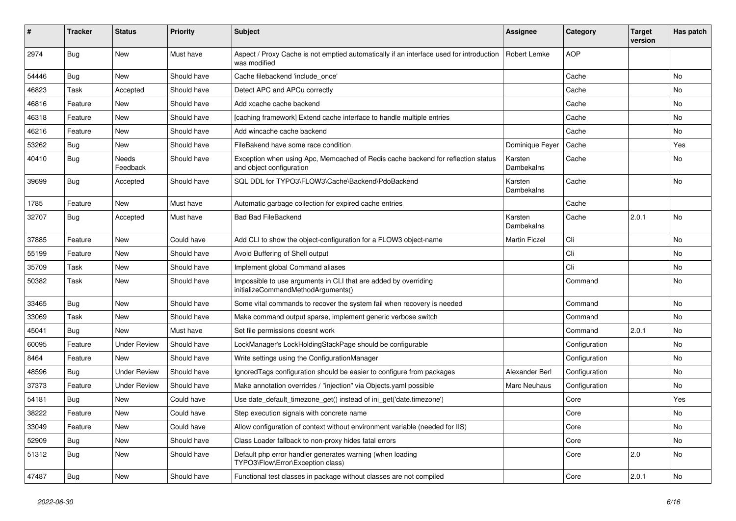| #     | <b>Tracker</b> | <b>Status</b>            | <b>Priority</b> | <b>Subject</b>                                                                                               | <b>Assignee</b>       | Category      | <b>Target</b><br>version | Has patch |
|-------|----------------|--------------------------|-----------------|--------------------------------------------------------------------------------------------------------------|-----------------------|---------------|--------------------------|-----------|
| 2974  | Bug            | New                      | Must have       | Aspect / Proxy Cache is not emptied automatically if an interface used for introduction<br>was modified      | Robert Lemke          | <b>AOP</b>    |                          |           |
| 54446 | <b>Bug</b>     | New                      | Should have     | Cache filebackend 'include_once'                                                                             |                       | Cache         |                          | No        |
| 46823 | Task           | Accepted                 | Should have     | Detect APC and APCu correctly                                                                                |                       | Cache         |                          | No        |
| 46816 | Feature        | <b>New</b>               | Should have     | Add xcache cache backend                                                                                     |                       | Cache         |                          | No        |
| 46318 | Feature        | New                      | Should have     | [caching framework] Extend cache interface to handle multiple entries                                        |                       | Cache         |                          | No.       |
| 46216 | Feature        | New                      | Should have     | Add wincache cache backend                                                                                   |                       | Cache         |                          | No        |
| 53262 | <b>Bug</b>     | <b>New</b>               | Should have     | FileBakend have some race condition                                                                          | Dominique Feyer       | Cache         |                          | Yes       |
| 40410 | <b>Bug</b>     | <b>Needs</b><br>Feedback | Should have     | Exception when using Apc, Memcached of Redis cache backend for reflection status<br>and object configuration | Karsten<br>Dambekalns | Cache         |                          | No        |
| 39699 | <b>Bug</b>     | Accepted                 | Should have     | SQL DDL for TYPO3\FLOW3\Cache\Backend\PdoBackend                                                             | Karsten<br>Dambekalns | Cache         |                          | No        |
| 1785  | Feature        | New                      | Must have       | Automatic garbage collection for expired cache entries                                                       |                       | Cache         |                          |           |
| 32707 | <b>Bug</b>     | Accepted                 | Must have       | <b>Bad Bad FileBackend</b>                                                                                   | Karsten<br>Dambekalns | Cache         | 2.0.1                    | No        |
| 37885 | Feature        | <b>New</b>               | Could have      | Add CLI to show the object-configuration for a FLOW3 object-name                                             | <b>Martin Ficzel</b>  | Cli           |                          | No        |
| 55199 | Feature        | <b>New</b>               | Should have     | Avoid Buffering of Shell output                                                                              |                       | Cli           |                          | No        |
| 35709 | Task           | New                      | Should have     | Implement global Command aliases                                                                             |                       | Cli           |                          | No        |
| 50382 | Task           | New                      | Should have     | Impossible to use arguments in CLI that are added by overriding<br>initializeCommandMethodArguments()        |                       | Command       |                          | No        |
| 33465 | <b>Bug</b>     | New                      | Should have     | Some vital commands to recover the system fail when recovery is needed                                       |                       | Command       |                          | No        |
| 33069 | Task           | New                      | Should have     | Make command output sparse, implement generic verbose switch                                                 |                       | Command       |                          | No        |
| 45041 | <b>Bug</b>     | New                      | Must have       | Set file permissions doesnt work                                                                             |                       | Command       | 2.0.1                    | No        |
| 60095 | Feature        | <b>Under Review</b>      | Should have     | LockManager's LockHoldingStackPage should be configurable                                                    |                       | Configuration |                          | No.       |
| 8464  | Feature        | New                      | Should have     | Write settings using the ConfigurationManager                                                                |                       | Configuration |                          | No        |
| 48596 | <b>Bug</b>     | <b>Under Review</b>      | Should have     | Ignored Tags configuration should be easier to configure from packages                                       | Alexander Berl        | Configuration |                          | No        |
| 37373 | Feature        | <b>Under Review</b>      | Should have     | Make annotation overrides / "injection" via Objects.yaml possible                                            | Marc Neuhaus          | Configuration |                          | No        |
| 54181 | <b>Bug</b>     | <b>New</b>               | Could have      | Use date_default_timezone_get() instead of ini_get('date.timezone')                                          |                       | Core          |                          | Yes       |
| 38222 | Feature        | New                      | Could have      | Step execution signals with concrete name                                                                    |                       | Core          |                          | No        |
| 33049 | Feature        | New                      | Could have      | Allow configuration of context without environment variable (needed for IIS)                                 |                       | Core          |                          | No        |
| 52909 | Bug            | New                      | Should have     | Class Loader fallback to non-proxy hides fatal errors                                                        |                       | Core          |                          | No        |
| 51312 | Bug            | New                      | Should have     | Default php error handler generates warning (when loading<br>TYPO3\Flow\Error\Exception class)               |                       | Core          | $ 2.0\rangle$            | No        |
| 47487 | <b>Bug</b>     | New                      | Should have     | Functional test classes in package without classes are not compiled                                          |                       | Core          | 2.0.1                    | No        |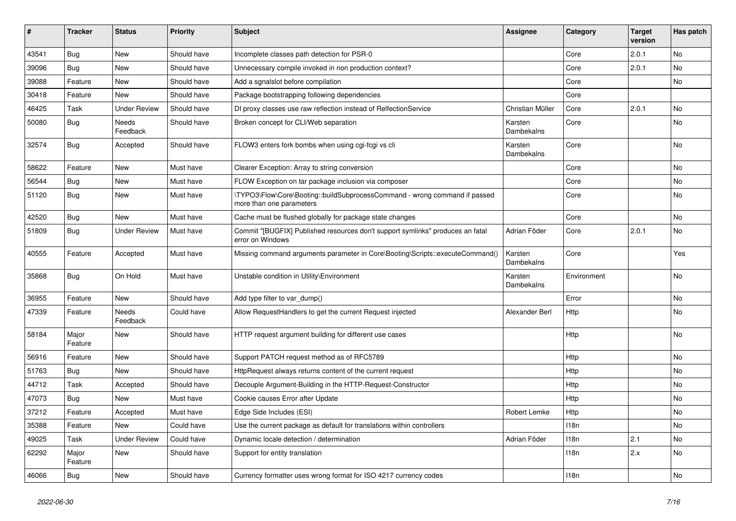| #     | <b>Tracker</b>   | <b>Status</b>       | <b>Priority</b> | Subject                                                                                                | <b>Assignee</b>       | Category    | <b>Target</b><br>version | Has patch |
|-------|------------------|---------------------|-----------------|--------------------------------------------------------------------------------------------------------|-----------------------|-------------|--------------------------|-----------|
| 43541 | Bug              | New                 | Should have     | Incomplete classes path detection for PSR-0                                                            |                       | Core        | 2.0.1                    | No        |
| 39096 | <b>Bug</b>       | New                 | Should have     | Unnecessary compile invoked in non production context?                                                 |                       | Core        | 2.0.1                    | No        |
| 39088 | Feature          | New                 | Should have     | Add a sgnalslot before compilation                                                                     |                       | Core        |                          | No        |
| 30418 | Feature          | New                 | Should have     | Package bootstrapping following dependencies                                                           |                       | Core        |                          |           |
| 46425 | Task             | <b>Under Review</b> | Should have     | DI proxy classes use raw reflection instead of RelfectionService                                       | Christian Müller      | Core        | 2.0.1                    | No        |
| 50080 | <b>Bug</b>       | Needs<br>Feedback   | Should have     | Broken concept for CLI/Web separation                                                                  | Karsten<br>Dambekalns | Core        |                          | No        |
| 32574 | Bug              | Accepted            | Should have     | FLOW3 enters fork bombs when using cgi-fcgi vs cli                                                     | Karsten<br>Dambekalns | Core        |                          | No        |
| 58622 | Feature          | New                 | Must have       | Clearer Exception: Array to string conversion                                                          |                       | Core        |                          | No        |
| 56544 | <b>Bug</b>       | New                 | Must have       | FLOW Exception on tar package inclusion via composer                                                   |                       | Core        |                          | No        |
| 51120 | <b>Bug</b>       | New                 | Must have       | \TYPO3\Flow\Core\Booting::buildSubprocessCommand - wrong command if passed<br>more than one parameters |                       | Core        |                          | No        |
| 42520 | <b>Bug</b>       | <b>New</b>          | Must have       | Cache must be flushed globally for package state changes                                               |                       | Core        |                          | No        |
| 51809 | Bug              | <b>Under Review</b> | Must have       | Commit "[BUGFIX] Published resources don't support symlinks" produces an fatal<br>error on Windows     | Adrian Föder          | Core        | 2.0.1                    | No        |
| 40555 | Feature          | Accepted            | Must have       | Missing command arguments parameter in Core\Booting\Scripts::executeCommand()                          | Karsten<br>Dambekalns | Core        |                          | Yes       |
| 35868 | Bug              | On Hold             | Must have       | Unstable condition in Utility\Environment                                                              | Karsten<br>Dambekalns | Environment |                          | No        |
| 36955 | Feature          | New                 | Should have     | Add type filter to var_dump()                                                                          |                       | Error       |                          | <b>No</b> |
| 47339 | Feature          | Needs<br>Feedback   | Could have      | Allow RequestHandlers to get the current Request injected                                              | Alexander Berl        | Http        |                          | No        |
| 58184 | Major<br>Feature | New                 | Should have     | HTTP request argument building for different use cases                                                 |                       | Http        |                          | No        |
| 56916 | Feature          | <b>New</b>          | Should have     | Support PATCH request method as of RFC5789                                                             |                       | Http        |                          | No        |
| 51763 | <b>Bug</b>       | New                 | Should have     | HttpRequest always returns content of the current request                                              |                       | Http        |                          | No        |
| 44712 | Task             | Accepted            | Should have     | Decouple Argument-Building in the HTTP-Request-Constructor                                             |                       | Http        |                          | No        |
| 47073 | <b>Bug</b>       | New                 | Must have       | Cookie causes Error after Update                                                                       |                       | Http        |                          | No        |
| 37212 | Feature          | Accepted            | Must have       | Edge Side Includes (ESI)                                                                               | Robert Lemke          | Http        |                          | No        |
| 35388 | Feature          | New                 | Could have      | Use the current package as default for translations within controllers                                 |                       | 118n        |                          | No        |
| 49025 | Task             | <b>Under Review</b> | Could have      | Dynamic locale detection / determination                                                               | Adrian Föder          | 118n        | 2.1                      | No        |
| 62292 | Major<br>Feature | New                 | Should have     | Support for entity translation                                                                         |                       | 118n        | 2.x                      | No        |
| 46066 | <b>Bug</b>       | New                 | Should have     | Currency formatter uses wrong format for ISO 4217 currency codes                                       |                       | 118n        |                          | No        |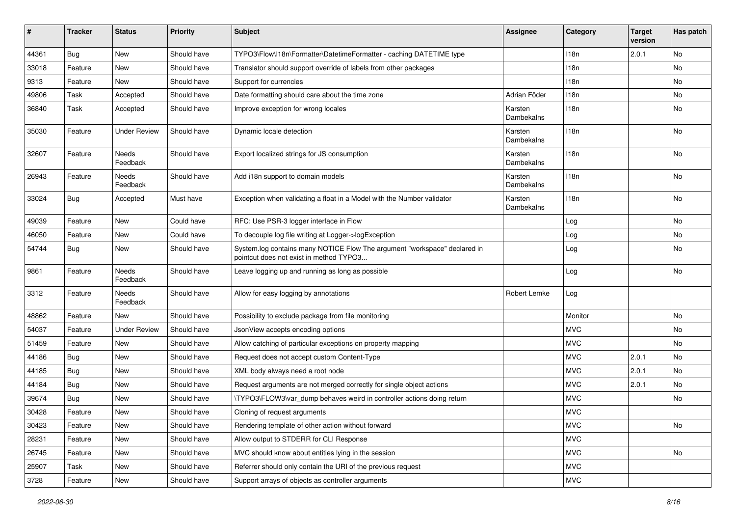| #     | <b>Tracker</b> | <b>Status</b>            | <b>Priority</b> | <b>Subject</b>                                                                                                       | Assignee              | Category   | <b>Target</b><br>version | Has patch |
|-------|----------------|--------------------------|-----------------|----------------------------------------------------------------------------------------------------------------------|-----------------------|------------|--------------------------|-----------|
| 44361 | Bug            | <b>New</b>               | Should have     | TYPO3\Flow\I18n\Formatter\DatetimeFormatter - caching DATETIME type                                                  |                       | 118n       | 2.0.1                    | No        |
| 33018 | Feature        | New                      | Should have     | Translator should support override of labels from other packages                                                     |                       | 118n       |                          | No        |
| 9313  | Feature        | New                      | Should have     | Support for currencies                                                                                               |                       | 118n       |                          | No        |
| 49806 | Task           | Accepted                 | Should have     | Date formatting should care about the time zone                                                                      | Adrian Föder          | 118n       |                          | No        |
| 36840 | Task           | Accepted                 | Should have     | Improve exception for wrong locales                                                                                  | Karsten<br>Dambekalns | 118n       |                          | No        |
| 35030 | Feature        | <b>Under Review</b>      | Should have     | Dynamic locale detection                                                                                             | Karsten<br>Dambekalns | 118n       |                          | No        |
| 32607 | Feature        | <b>Needs</b><br>Feedback | Should have     | Export localized strings for JS consumption                                                                          | Karsten<br>Dambekalns | 118n       |                          | No        |
| 26943 | Feature        | Needs<br>Feedback        | Should have     | Add i18n support to domain models                                                                                    | Karsten<br>Dambekalns | 118n       |                          | <b>No</b> |
| 33024 | <b>Bug</b>     | Accepted                 | Must have       | Exception when validating a float in a Model with the Number validator                                               | Karsten<br>Dambekalns | 118n       |                          | No        |
| 49039 | Feature        | <b>New</b>               | Could have      | RFC: Use PSR-3 logger interface in Flow                                                                              |                       | Log        |                          | No        |
| 46050 | Feature        | New                      | Could have      | To decouple log file writing at Logger->logException                                                                 |                       | Log        |                          | No        |
| 54744 | <b>Bug</b>     | New                      | Should have     | System.log contains many NOTICE Flow The argument "workspace" declared in<br>pointcut does not exist in method TYPO3 |                       | Log        |                          | No        |
| 9861  | Feature        | Needs<br>Feedback        | Should have     | Leave logging up and running as long as possible                                                                     |                       | Log        |                          | No        |
| 3312  | Feature        | Needs<br>Feedback        | Should have     | Allow for easy logging by annotations                                                                                | Robert Lemke          | Log        |                          |           |
| 48862 | Feature        | New                      | Should have     | Possibility to exclude package from file monitoring                                                                  |                       | Monitor    |                          | No        |
| 54037 | Feature        | <b>Under Review</b>      | Should have     | JsonView accepts encoding options                                                                                    |                       | <b>MVC</b> |                          | No        |
| 51459 | Feature        | <b>New</b>               | Should have     | Allow catching of particular exceptions on property mapping                                                          |                       | <b>MVC</b> |                          | No        |
| 44186 | <b>Bug</b>     | New                      | Should have     | Request does not accept custom Content-Type                                                                          |                       | <b>MVC</b> | 2.0.1                    | No        |
| 44185 | <b>Bug</b>     | New                      | Should have     | XML body always need a root node                                                                                     |                       | <b>MVC</b> | 2.0.1                    | No        |
| 44184 | <b>Bug</b>     | New                      | Should have     | Request arguments are not merged correctly for single object actions                                                 |                       | <b>MVC</b> | 2.0.1                    | No        |
| 39674 | <b>Bug</b>     | New                      | Should have     | \TYPO3\FLOW3\var_dump behaves weird in controller actions doing return                                               |                       | <b>MVC</b> |                          | No        |
| 30428 | Feature        | New                      | Should have     | Cloning of request arguments                                                                                         |                       | <b>MVC</b> |                          |           |
| 30423 | Feature        | New                      | Should have     | Rendering template of other action without forward                                                                   |                       | <b>MVC</b> |                          | No        |
| 28231 | Feature        | New                      | Should have     | Allow output to STDERR for CLI Response                                                                              |                       | <b>MVC</b> |                          |           |
| 26745 | Feature        | New                      | Should have     | MVC should know about entities lying in the session                                                                  |                       | <b>MVC</b> |                          | No        |
| 25907 | Task           | New                      | Should have     | Referrer should only contain the URI of the previous request                                                         |                       | MVC        |                          |           |
| 3728  | Feature        | New                      | Should have     | Support arrays of objects as controller arguments                                                                    |                       | <b>MVC</b> |                          |           |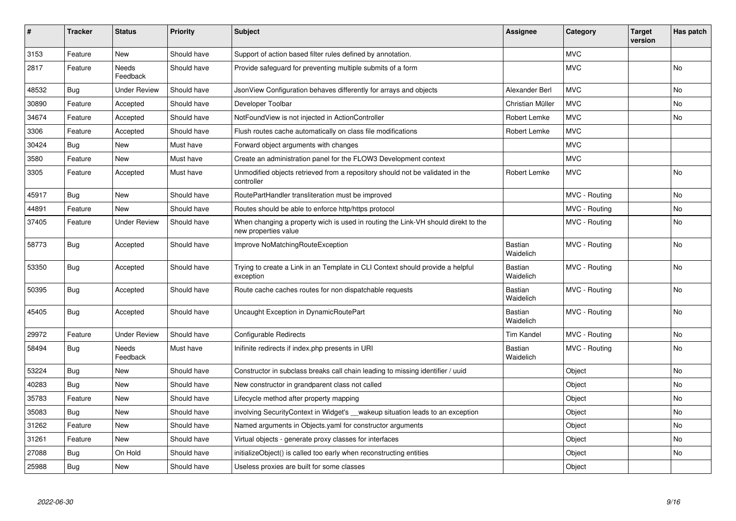| #     | <b>Tracker</b> | <b>Status</b>       | <b>Priority</b> | <b>Subject</b>                                                                                            | <b>Assignee</b>             | Category      | <b>Target</b><br>version | Has patch |
|-------|----------------|---------------------|-----------------|-----------------------------------------------------------------------------------------------------------|-----------------------------|---------------|--------------------------|-----------|
| 3153  | Feature        | <b>New</b>          | Should have     | Support of action based filter rules defined by annotation.                                               |                             | <b>MVC</b>    |                          |           |
| 2817  | Feature        | Needs<br>Feedback   | Should have     | Provide safeguard for preventing multiple submits of a form                                               |                             | <b>MVC</b>    |                          | No        |
| 48532 | Bug            | <b>Under Review</b> | Should have     | JsonView Configuration behaves differently for arrays and objects                                         | Alexander Berl              | <b>MVC</b>    |                          | No        |
| 30890 | Feature        | Accepted            | Should have     | Developer Toolbar                                                                                         | Christian Müller            | <b>MVC</b>    |                          | No        |
| 34674 | Feature        | Accepted            | Should have     | NotFoundView is not injected in ActionController                                                          | Robert Lemke                | <b>MVC</b>    |                          | No        |
| 3306  | Feature        | Accepted            | Should have     | Flush routes cache automatically on class file modifications                                              | Robert Lemke                | <b>MVC</b>    |                          |           |
| 30424 | Bug            | <b>New</b>          | Must have       | Forward object arguments with changes                                                                     |                             | <b>MVC</b>    |                          |           |
| 3580  | Feature        | New                 | Must have       | Create an administration panel for the FLOW3 Development context                                          |                             | <b>MVC</b>    |                          |           |
| 3305  | Feature        | Accepted            | Must have       | Unmodified objects retrieved from a repository should not be validated in the<br>controller               | Robert Lemke                | <b>MVC</b>    |                          | <b>No</b> |
| 45917 | Bug            | <b>New</b>          | Should have     | RoutePartHandler transliteration must be improved                                                         |                             | MVC - Routing |                          | No.       |
| 44891 | Feature        | New                 | Should have     | Routes should be able to enforce http/https protocol                                                      |                             | MVC - Routing |                          | No        |
| 37405 | Feature        | <b>Under Review</b> | Should have     | When changing a property wich is used in routing the Link-VH should direkt to the<br>new properties value |                             | MVC - Routing |                          | No.       |
| 58773 | Bug            | Accepted            | Should have     | Improve NoMatchingRouteException                                                                          | Bastian<br>Waidelich        | MVC - Routing |                          | No        |
| 53350 | <b>Bug</b>     | Accepted            | Should have     | Trying to create a Link in an Template in CLI Context should provide a helpful<br>exception               | Bastian<br>Waidelich        | MVC - Routing |                          | No        |
| 50395 | Bug            | Accepted            | Should have     | Route cache caches routes for non dispatchable requests                                                   | Bastian<br>Waidelich        | MVC - Routing |                          | No        |
| 45405 | Bug            | Accepted            | Should have     | Uncaught Exception in DynamicRoutePart                                                                    | Bastian<br>Waidelich        | MVC - Routing |                          | No.       |
| 29972 | Feature        | <b>Under Review</b> | Should have     | Configurable Redirects                                                                                    | <b>Tim Kandel</b>           | MVC - Routing |                          | No        |
| 58494 | <b>Bug</b>     | Needs<br>Feedback   | Must have       | Inifinite redirects if index.php presents in URI                                                          | <b>Bastian</b><br>Waidelich | MVC - Routing |                          | No        |
| 53224 | <b>Bug</b>     | <b>New</b>          | Should have     | Constructor in subclass breaks call chain leading to missing identifier / uuid                            |                             | Object        |                          | No        |
| 40283 | Bug            | New                 | Should have     | New constructor in grandparent class not called                                                           |                             | Object        |                          | No        |
| 35783 | Feature        | <b>New</b>          | Should have     | Lifecycle method after property mapping                                                                   |                             | Object        |                          | No        |
| 35083 | <b>Bug</b>     | New                 | Should have     | involving SecurityContext in Widget's __wakeup situation leads to an exception                            |                             | Object        |                          | No        |
| 31262 | Feature        | <b>New</b>          | Should have     | Named arguments in Objects.yaml for constructor arguments                                                 |                             | Object        |                          | No        |
| 31261 | Feature        | <b>New</b>          | Should have     | Virtual objects - generate proxy classes for interfaces                                                   |                             | Object        |                          | No        |
| 27088 | Bug            | On Hold             | Should have     | initializeObject() is called too early when reconstructing entities                                       |                             | Object        |                          | No        |
| 25988 | Bug            | New                 | Should have     | Useless proxies are built for some classes                                                                |                             | Object        |                          |           |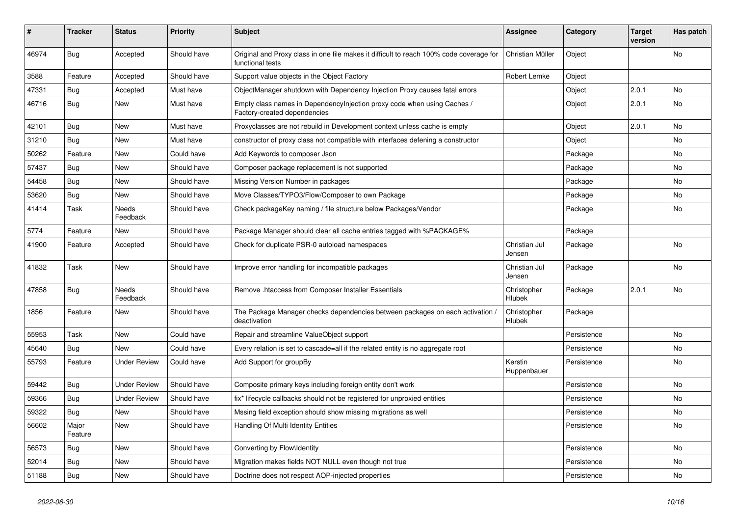| ∦     | <b>Tracker</b>   | <b>Status</b>       | <b>Priority</b> | Subject                                                                                                     | <b>Assignee</b>         | Category    | <b>Target</b><br>version | Has patch |
|-------|------------------|---------------------|-----------------|-------------------------------------------------------------------------------------------------------------|-------------------------|-------------|--------------------------|-----------|
| 46974 | Bug              | Accepted            | Should have     | Original and Proxy class in one file makes it difficult to reach 100% code coverage for<br>functional tests | Christian Müller        | Object      |                          | No        |
| 3588  | Feature          | Accepted            | Should have     | Support value objects in the Object Factory                                                                 | Robert Lemke            | Object      |                          |           |
| 47331 | Bug              | Accepted            | Must have       | ObjectManager shutdown with Dependency Injection Proxy causes fatal errors                                  |                         | Object      | 2.0.1                    | No        |
| 46716 | Bug              | New                 | Must have       | Empty class names in Dependencylnjection proxy code when using Caches /<br>Factory-created dependencies     |                         | Object      | 2.0.1                    | <b>No</b> |
| 42101 | Bug              | <b>New</b>          | Must have       | Proxyclasses are not rebuild in Development context unless cache is empty                                   |                         | Object      | 2.0.1                    | <b>No</b> |
| 31210 | <b>Bug</b>       | New                 | Must have       | constructor of proxy class not compatible with interfaces defening a constructor                            |                         | Object      |                          | No        |
| 50262 | Feature          | New                 | Could have      | Add Keywords to composer Json                                                                               |                         | Package     |                          | No        |
| 57437 | <b>Bug</b>       | New                 | Should have     | Composer package replacement is not supported                                                               |                         | Package     |                          | No        |
| 54458 | <b>Bug</b>       | New                 | Should have     | Missing Version Number in packages                                                                          |                         | Package     |                          | No        |
| 53620 | Bug              | New                 | Should have     | Move Classes/TYPO3/Flow/Composer to own Package                                                             |                         | Package     |                          | No        |
| 41414 | Task             | Needs<br>Feedback   | Should have     | Check packageKey naming / file structure below Packages/Vendor                                              |                         | Package     |                          | No        |
| 5774  | Feature          | New                 | Should have     | Package Manager should clear all cache entries tagged with %PACKAGE%                                        |                         | Package     |                          |           |
| 41900 | Feature          | Accepted            | Should have     | Check for duplicate PSR-0 autoload namespaces                                                               | Christian Jul<br>Jensen | Package     |                          | <b>No</b> |
| 41832 | Task             | New                 | Should have     | Improve error handling for incompatible packages                                                            | Christian Jul<br>Jensen | Package     |                          | No        |
| 47858 | <b>Bug</b>       | Needs<br>Feedback   | Should have     | Remove .htaccess from Composer Installer Essentials                                                         | Christopher<br>Hlubek   | Package     | 2.0.1                    | No        |
| 1856  | Feature          | New                 | Should have     | The Package Manager checks dependencies between packages on each activation<br>deactivation                 | Christopher<br>Hlubek   | Package     |                          |           |
| 55953 | Task             | New                 | Could have      | Repair and streamline ValueObject support                                                                   |                         | Persistence |                          | No        |
| 45640 | Bug              | New                 | Could have      | Every relation is set to cascade=all if the related entity is no aggregate root                             |                         | Persistence |                          | <b>No</b> |
| 55793 | Feature          | <b>Under Review</b> | Could have      | Add Support for groupBy                                                                                     | Kerstin<br>Huppenbauer  | Persistence |                          | No        |
| 59442 | Bug              | <b>Under Review</b> | Should have     | Composite primary keys including foreign entity don't work                                                  |                         | Persistence |                          | No        |
| 59366 | <b>Bug</b>       | <b>Under Review</b> | Should have     | fix* lifecycle callbacks should not be registered for unproxied entities                                    |                         | Persistence |                          | No        |
| 59322 | <b>Bug</b>       | New                 | Should have     | Mssing field exception should show missing migrations as well                                               |                         | Persistence |                          | No        |
| 56602 | Major<br>Feature | New                 | Should have     | Handling Of Multi Identity Entities                                                                         |                         | Persistence |                          | No        |
| 56573 | <b>Bug</b>       | New                 | Should have     | Converting by Flow\Identity                                                                                 |                         | Persistence |                          | No        |
| 52014 | <b>Bug</b>       | New                 | Should have     | Migration makes fields NOT NULL even though not true                                                        |                         | Persistence |                          | No        |
| 51188 | <b>Bug</b>       | New                 | Should have     | Doctrine does not respect AOP-injected properties                                                           |                         | Persistence |                          | No        |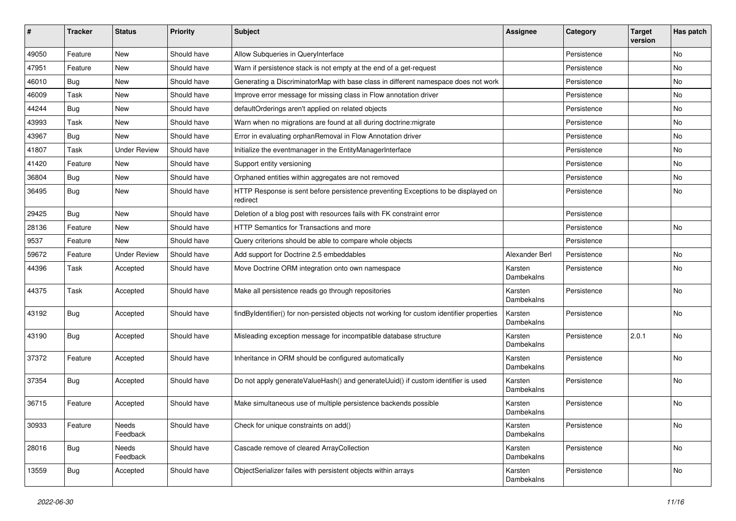| ∦     | <b>Tracker</b> | <b>Status</b>       | <b>Priority</b> | <b>Subject</b>                                                                                | <b>Assignee</b>       | Category    | <b>Target</b><br>version | Has patch |
|-------|----------------|---------------------|-----------------|-----------------------------------------------------------------------------------------------|-----------------------|-------------|--------------------------|-----------|
| 49050 | Feature        | New                 | Should have     | Allow Subqueries in QueryInterface                                                            |                       | Persistence |                          | No        |
| 47951 | Feature        | New                 | Should have     | Warn if persistence stack is not empty at the end of a get-request                            |                       | Persistence |                          | No        |
| 46010 | <b>Bug</b>     | New                 | Should have     | Generating a DiscriminatorMap with base class in different namespace does not work            |                       | Persistence |                          | No        |
| 46009 | Task           | New                 | Should have     | Improve error message for missing class in Flow annotation driver                             |                       | Persistence |                          | No        |
| 44244 | <b>Bug</b>     | New                 | Should have     | defaultOrderings aren't applied on related objects                                            |                       | Persistence |                          | No        |
| 43993 | Task           | New                 | Should have     | Warn when no migrations are found at all during doctrine: migrate                             |                       | Persistence |                          | No        |
| 43967 | <b>Bug</b>     | <b>New</b>          | Should have     | Error in evaluating orphanRemoval in Flow Annotation driver                                   |                       | Persistence |                          | No        |
| 41807 | Task           | <b>Under Review</b> | Should have     | Initialize the eventmanager in the EntityManagerInterface                                     |                       | Persistence |                          | No        |
| 41420 | Feature        | <b>New</b>          | Should have     | Support entity versioning                                                                     |                       | Persistence |                          | No        |
| 36804 | <b>Bug</b>     | New                 | Should have     | Orphaned entities within aggregates are not removed                                           |                       | Persistence |                          | No        |
| 36495 | <b>Bug</b>     | New                 | Should have     | HTTP Response is sent before persistence preventing Exceptions to be displayed on<br>redirect |                       | Persistence |                          | No        |
| 29425 | <b>Bug</b>     | New                 | Should have     | Deletion of a blog post with resources fails with FK constraint error                         |                       | Persistence |                          |           |
| 28136 | Feature        | New                 | Should have     | HTTP Semantics for Transactions and more                                                      |                       | Persistence |                          | No        |
| 9537  | Feature        | <b>New</b>          | Should have     | Query criterions should be able to compare whole objects                                      |                       | Persistence |                          |           |
| 59672 | Feature        | <b>Under Review</b> | Should have     | Add support for Doctrine 2.5 embeddables                                                      | Alexander Berl        | Persistence |                          | No        |
| 44396 | Task           | Accepted            | Should have     | Move Doctrine ORM integration onto own namespace                                              | Karsten<br>Dambekalns | Persistence |                          | No        |
| 44375 | Task           | Accepted            | Should have     | Make all persistence reads go through repositories                                            | Karsten<br>Dambekalns | Persistence |                          | <b>No</b> |
| 43192 | <b>Bug</b>     | Accepted            | Should have     | findByIdentifier() for non-persisted objects not working for custom identifier properties     | Karsten<br>Dambekalns | Persistence |                          | <b>No</b> |
| 43190 | <b>Bug</b>     | Accepted            | Should have     | Misleading exception message for incompatible database structure                              | Karsten<br>Dambekalns | Persistence | 2.0.1                    | No        |
| 37372 | Feature        | Accepted            | Should have     | Inheritance in ORM should be configured automatically                                         | Karsten<br>Dambekalns | Persistence |                          | No        |
| 37354 | <b>Bug</b>     | Accepted            | Should have     | Do not apply generateValueHash() and generateUuid() if custom identifier is used              | Karsten<br>Dambekalns | Persistence |                          | No        |
| 36715 | Feature        | Accepted            | Should have     | Make simultaneous use of multiple persistence backends possible                               | Karsten<br>Dambekalns | Persistence |                          | No        |
| 30933 | Feature        | Needs<br>Feedback   | Should have     | Check for unique constraints on add()                                                         | Karsten<br>Dambekalns | Persistence |                          | No        |
| 28016 | Bug            | Needs<br>Feedback   | Should have     | Cascade remove of cleared ArrayCollection                                                     | Karsten<br>Dambekalns | Persistence |                          | No        |
| 13559 | Bug            | Accepted            | Should have     | ObjectSerializer failes with persistent objects within arrays                                 | Karsten<br>Dambekalns | Persistence |                          | No        |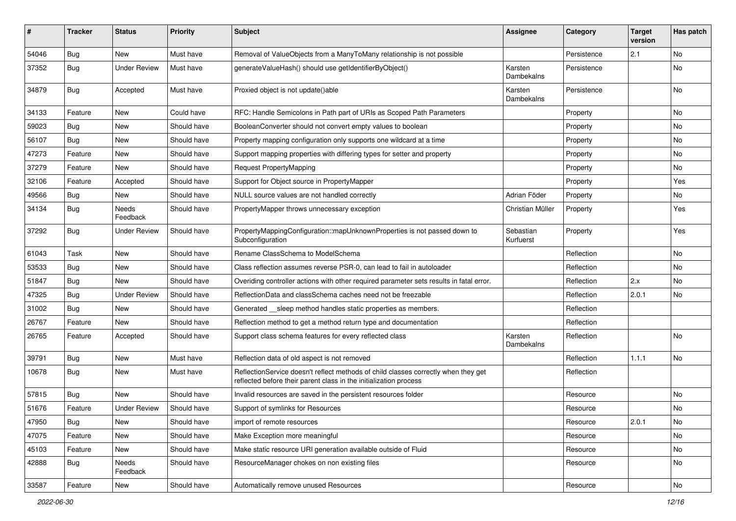| #     | <b>Tracker</b> | <b>Status</b>       | <b>Priority</b> | <b>Subject</b>                                                                                                                                          | <b>Assignee</b>        | Category    | <b>Target</b><br>version | Has patch |
|-------|----------------|---------------------|-----------------|---------------------------------------------------------------------------------------------------------------------------------------------------------|------------------------|-------------|--------------------------|-----------|
| 54046 | Bug            | <b>New</b>          | Must have       | Removal of ValueObjects from a ManyToMany relationship is not possible                                                                                  |                        | Persistence | 2.1                      | <b>No</b> |
| 37352 | <b>Bug</b>     | <b>Under Review</b> | Must have       | generateValueHash() should use getIdentifierByObject()                                                                                                  | Karsten<br>Dambekalns  | Persistence |                          | No        |
| 34879 | <b>Bug</b>     | Accepted            | Must have       | Proxied object is not update()able                                                                                                                      | Karsten<br>Dambekalns  | Persistence |                          | <b>No</b> |
| 34133 | Feature        | <b>New</b>          | Could have      | RFC: Handle Semicolons in Path part of URIs as Scoped Path Parameters                                                                                   |                        | Property    |                          | No        |
| 59023 | <b>Bug</b>     | New                 | Should have     | BooleanConverter should not convert empty values to boolean                                                                                             |                        | Property    |                          | No        |
| 56107 | <b>Bug</b>     | New                 | Should have     | Property mapping configuration only supports one wildcard at a time                                                                                     |                        | Property    |                          | No        |
| 47273 | Feature        | New                 | Should have     | Support mapping properties with differing types for setter and property                                                                                 |                        | Property    |                          | No        |
| 37279 | Feature        | New                 | Should have     | <b>Request PropertyMapping</b>                                                                                                                          |                        | Property    |                          | No        |
| 32106 | Feature        | Accepted            | Should have     | Support for Object source in PropertyMapper                                                                                                             |                        | Property    |                          | Yes       |
| 49566 | <b>Bug</b>     | New                 | Should have     | NULL source values are not handled correctly                                                                                                            | Adrian Föder           | Property    |                          | No        |
| 34134 | <b>Bug</b>     | Needs<br>Feedback   | Should have     | PropertyMapper throws unnecessary exception                                                                                                             | Christian Müller       | Property    |                          | Yes       |
| 37292 | <b>Bug</b>     | <b>Under Review</b> | Should have     | PropertyMappingConfiguration::mapUnknownProperties is not passed down to<br>Subconfiguration                                                            | Sebastian<br>Kurfuerst | Property    |                          | Yes       |
| 61043 | Task           | New                 | Should have     | Rename ClassSchema to ModelSchema                                                                                                                       |                        | Reflection  |                          | No        |
| 53533 | <b>Bug</b>     | <b>New</b>          | Should have     | Class reflection assumes reverse PSR-0, can lead to fail in autoloader                                                                                  |                        | Reflection  |                          | <b>No</b> |
| 51847 | <b>Bug</b>     | <b>New</b>          | Should have     | Overiding controller actions with other required parameter sets results in fatal error.                                                                 |                        | Reflection  | 2.x                      | No        |
| 47325 | <b>Bug</b>     | <b>Under Review</b> | Should have     | ReflectionData and classSchema caches need not be freezable                                                                                             |                        | Reflection  | 2.0.1                    | No        |
| 31002 | <b>Bug</b>     | New                 | Should have     | Generated __sleep method handles static properties as members.                                                                                          |                        | Reflection  |                          |           |
| 26767 | Feature        | New                 | Should have     | Reflection method to get a method return type and documentation                                                                                         |                        | Reflection  |                          |           |
| 26765 | Feature        | Accepted            | Should have     | Support class schema features for every reflected class                                                                                                 | Karsten<br>Dambekalns  | Reflection  |                          | <b>No</b> |
| 39791 | <b>Bug</b>     | <b>New</b>          | Must have       | Reflection data of old aspect is not removed                                                                                                            |                        | Reflection  | 1.1.1                    | <b>No</b> |
| 10678 | <b>Bug</b>     | New                 | Must have       | ReflectionService doesn't reflect methods of child classes correctly when they get<br>reflected before their parent class in the initialization process |                        | Reflection  |                          |           |
| 57815 | Bug            | <b>New</b>          | Should have     | Invalid resources are saved in the persistent resources folder                                                                                          |                        | Resource    |                          | No        |
| 51676 | Feature        | <b>Under Review</b> | Should have     | Support of symlinks for Resources                                                                                                                       |                        | Resource    |                          | No        |
| 47950 | <b>Bug</b>     | New                 | Should have     | import of remote resources                                                                                                                              |                        | Resource    | 2.0.1                    | No        |
| 47075 | Feature        | New                 | Should have     | Make Exception more meaningful                                                                                                                          |                        | Resource    |                          | No        |
| 45103 | Feature        | New                 | Should have     | Make static resource URI generation available outside of Fluid                                                                                          |                        | Resource    |                          | No        |
| 42888 | Bug            | Needs<br>Feedback   | Should have     | ResourceManager chokes on non existing files                                                                                                            |                        | Resource    |                          | No        |
| 33587 | Feature        | New                 | Should have     | Automatically remove unused Resources                                                                                                                   |                        | Resource    |                          | No        |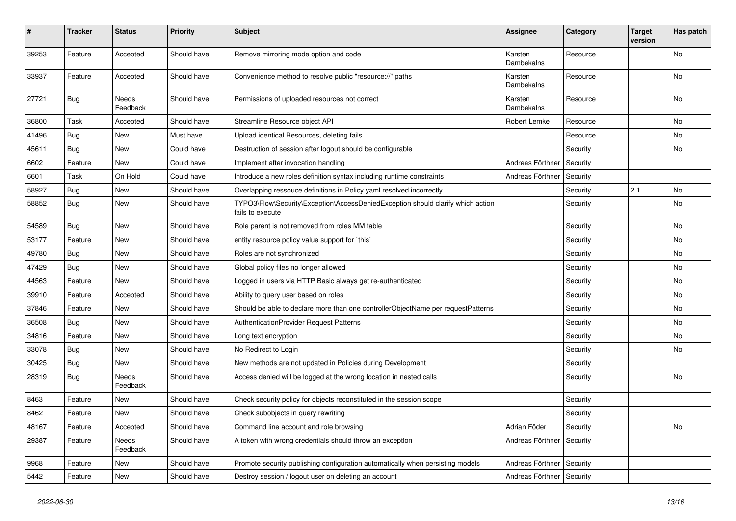| $\sharp$ | Tracker    | <b>Status</b>     | <b>Priority</b> | <b>Subject</b>                                                                                      | <b>Assignee</b>       | Category | <b>Target</b><br>version | Has patch |
|----------|------------|-------------------|-----------------|-----------------------------------------------------------------------------------------------------|-----------------------|----------|--------------------------|-----------|
| 39253    | Feature    | Accepted          | Should have     | Remove mirroring mode option and code                                                               | Karsten<br>Dambekalns | Resource |                          | No        |
| 33937    | Feature    | Accepted          | Should have     | Convenience method to resolve public "resource://" paths                                            | Karsten<br>Dambekalns | Resource |                          | No        |
| 27721    | <b>Bug</b> | Needs<br>Feedback | Should have     | Permissions of uploaded resources not correct                                                       | Karsten<br>Dambekalns | Resource |                          | No        |
| 36800    | Task       | Accepted          | Should have     | Streamline Resource object API                                                                      | Robert Lemke          | Resource |                          | No        |
| 41496    | <b>Bug</b> | New               | Must have       | Upload identical Resources, deleting fails                                                          |                       | Resource |                          | No        |
| 45611    | <b>Bug</b> | New               | Could have      | Destruction of session after logout should be configurable                                          |                       | Security |                          | No        |
| 6602     | Feature    | New               | Could have      | Implement after invocation handling                                                                 | Andreas Förthner      | Security |                          |           |
| 6601     | Task       | On Hold           | Could have      | Introduce a new roles definition syntax including runtime constraints                               | Andreas Förthner      | Security |                          |           |
| 58927    | <b>Bug</b> | New               | Should have     | Overlapping ressouce definitions in Policy.yaml resolved incorrectly                                |                       | Security | 2.1                      | No        |
| 58852    | <b>Bug</b> | New               | Should have     | TYPO3\Flow\Security\Exception\AccessDeniedException should clarify which action<br>fails to execute |                       | Security |                          | No        |
| 54589    | <b>Bug</b> | New               | Should have     | Role parent is not removed from roles MM table                                                      |                       | Security |                          | No        |
| 53177    | Feature    | New               | Should have     | entity resource policy value support for `this`                                                     |                       | Security |                          | No        |
| 49780    | Bug        | New               | Should have     | Roles are not synchronized                                                                          |                       | Security |                          | No        |
| 47429    | <b>Bug</b> | New               | Should have     | Global policy files no longer allowed                                                               |                       | Security |                          | No        |
| 44563    | Feature    | New               | Should have     | Logged in users via HTTP Basic always get re-authenticated                                          |                       | Security |                          | No        |
| 39910    | Feature    | Accepted          | Should have     | Ability to query user based on roles                                                                |                       | Security |                          | No        |
| 37846    | Feature    | New               | Should have     | Should be able to declare more than one controllerObjectName per requestPatterns                    |                       | Security |                          | No        |
| 36508    | <b>Bug</b> | New               | Should have     | AuthenticationProvider Request Patterns                                                             |                       | Security |                          | No        |
| 34816    | Feature    | New               | Should have     | Long text encryption                                                                                |                       | Security |                          | No        |
| 33078    | <b>Bug</b> | New               | Should have     | No Redirect to Login                                                                                |                       | Security |                          | No        |
| 30425    | <b>Bug</b> | New               | Should have     | New methods are not updated in Policies during Development                                          |                       | Security |                          |           |
| 28319    | <b>Bug</b> | Needs<br>Feedback | Should have     | Access denied will be logged at the wrong location in nested calls                                  |                       | Security |                          | No        |
| 8463     | Feature    | New               | Should have     | Check security policy for objects reconstituted in the session scope                                |                       | Security |                          |           |
| 8462     | Feature    | New               | Should have     | Check subobjects in query rewriting                                                                 |                       | Security |                          |           |
| 48167    | Feature    | Accepted          | Should have     | Command line account and role browsing                                                              | Adrian Föder          | Security |                          | No        |
| 29387    | Feature    | Needs<br>Feedback | Should have     | A token with wrong credentials should throw an exception                                            | Andreas Förthner      | Security |                          |           |
| 9968     | Feature    | New               | Should have     | Promote security publishing configuration automatically when persisting models                      | Andreas Förthner      | Security |                          |           |
| 5442     | Feature    | New               | Should have     | Destroy session / logout user on deleting an account                                                | Andreas Förthner      | Security |                          |           |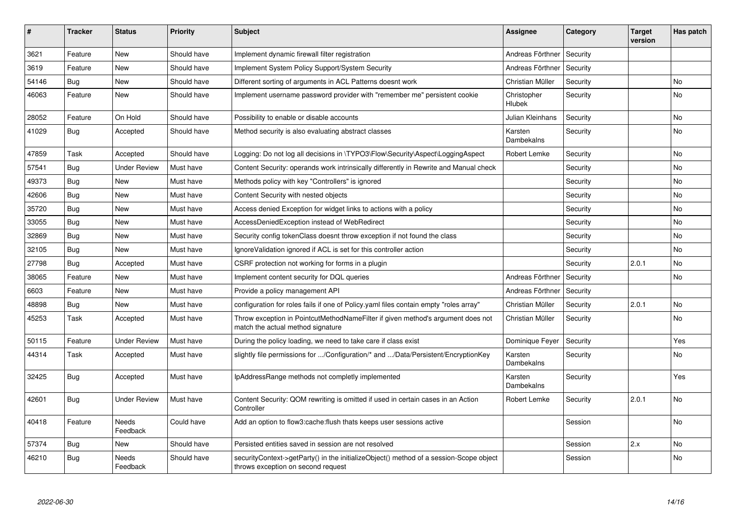| ∦     | <b>Tracker</b> | <b>Status</b>            | <b>Priority</b> | <b>Subject</b>                                                                                                               | <b>Assignee</b>              | Category | <b>Target</b><br>version | Has patch |
|-------|----------------|--------------------------|-----------------|------------------------------------------------------------------------------------------------------------------------------|------------------------------|----------|--------------------------|-----------|
| 3621  | Feature        | <b>New</b>               | Should have     | Implement dynamic firewall filter registration                                                                               | Andreas Förthner             | Security |                          |           |
| 3619  | Feature        | New                      | Should have     | Implement System Policy Support/System Security                                                                              | Andreas Förthner             | Security |                          |           |
| 54146 | <b>Bug</b>     | <b>New</b>               | Should have     | Different sorting of arguments in ACL Patterns doesnt work                                                                   | Christian Müller             | Security |                          | <b>No</b> |
| 46063 | Feature        | <b>New</b>               | Should have     | Implement username password provider with "remember me" persistent cookie                                                    | Christopher<br><b>Hlubek</b> | Security |                          | <b>No</b> |
| 28052 | Feature        | On Hold                  | Should have     | Possibility to enable or disable accounts                                                                                    | Julian Kleinhans             | Security |                          | <b>No</b> |
| 41029 | Bug            | Accepted                 | Should have     | Method security is also evaluating abstract classes                                                                          | Karsten<br>Dambekalns        | Security |                          | <b>No</b> |
| 47859 | Task           | Accepted                 | Should have     | Logging: Do not log all decisions in \TYPO3\Flow\Security\Aspect\LoggingAspect                                               | <b>Robert Lemke</b>          | Security |                          | No        |
| 57541 | <b>Bug</b>     | <b>Under Review</b>      | Must have       | Content Security: operands work intrinsically differently in Rewrite and Manual check                                        |                              | Security |                          | <b>No</b> |
| 49373 | <b>Bug</b>     | <b>New</b>               | Must have       | Methods policy with key "Controllers" is ignored                                                                             |                              | Security |                          | No        |
| 42606 | <b>Bug</b>     | <b>New</b>               | Must have       | Content Security with nested objects                                                                                         |                              | Security |                          | No        |
| 35720 | Bug            | New                      | Must have       | Access denied Exception for widget links to actions with a policy                                                            |                              | Security |                          | No        |
| 33055 | Bug            | <b>New</b>               | Must have       | AccessDeniedException instead of WebRedirect                                                                                 |                              | Security |                          | <b>No</b> |
| 32869 | <b>Bug</b>     | <b>New</b>               | Must have       | Security config tokenClass doesnt throw exception if not found the class                                                     |                              | Security |                          | No        |
| 32105 | Bug            | <b>New</b>               | Must have       | Ignore Validation ignored if ACL is set for this controller action                                                           |                              | Security |                          | No        |
| 27798 | <b>Bug</b>     | Accepted                 | Must have       | CSRF protection not working for forms in a plugin                                                                            |                              | Security | 2.0.1                    | <b>No</b> |
| 38065 | Feature        | <b>New</b>               | Must have       | Implement content security for DQL queries                                                                                   | Andreas Förthner             | Security |                          | No        |
| 6603  | Feature        | <b>New</b>               | Must have       | Provide a policy management API                                                                                              | Andreas Förthner             | Security |                          |           |
| 48898 | <b>Bug</b>     | New                      | Must have       | configuration for roles fails if one of Policy yaml files contain empty "roles array"                                        | Christian Müller             | Security | 2.0.1                    | <b>No</b> |
| 45253 | Task           | Accepted                 | Must have       | Throw exception in PointcutMethodNameFilter if given method's argument does not<br>match the actual method signature         | Christian Müller             | Security |                          | <b>No</b> |
| 50115 | Feature        | <b>Under Review</b>      | Must have       | During the policy loading, we need to take care if class exist                                                               | Dominique Feyer              | Security |                          | Yes.      |
| 44314 | Task           | Accepted                 | Must have       | slightly file permissions for /Configuration/* and /Data/Persistent/EncryptionKey                                            | Karsten<br>Dambekalns        | Security |                          | No        |
| 32425 | Bug            | Accepted                 | Must have       | IpAddressRange methods not completly implemented                                                                             | Karsten<br>Dambekalns        | Security |                          | Yes       |
| 42601 | <b>Bug</b>     | <b>Under Review</b>      | Must have       | Content Security: QOM rewriting is omitted if used in certain cases in an Action<br>Controller                               | Robert Lemke                 | Security | 2.0.1                    | <b>No</b> |
| 40418 | Feature        | <b>Needs</b><br>Feedback | Could have      | Add an option to flow3:cache:flush thats keeps user sessions active                                                          |                              | Session  |                          | <b>No</b> |
| 57374 | Bug            | <b>New</b>               | Should have     | Persisted entities saved in session are not resolved                                                                         |                              | Session  | 2.x                      | <b>No</b> |
| 46210 | Bug            | <b>Needs</b><br>Feedback | Should have     | securityContext->getParty() in the initializeObject() method of a session-Scope object<br>throws exception on second request |                              | Session  |                          | <b>No</b> |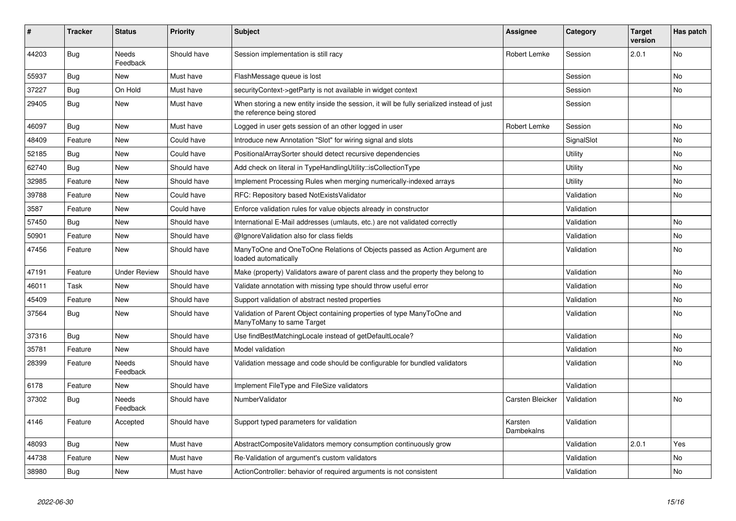| #     | <b>Tracker</b> | <b>Status</b>            | <b>Priority</b> | <b>Subject</b>                                                                                                          | <b>Assignee</b>       | Category   | <b>Target</b><br>version | Has patch |
|-------|----------------|--------------------------|-----------------|-------------------------------------------------------------------------------------------------------------------------|-----------------------|------------|--------------------------|-----------|
| 44203 | <b>Bug</b>     | <b>Needs</b><br>Feedback | Should have     | Session implementation is still racy                                                                                    | Robert Lemke          | Session    | 2.0.1                    | <b>No</b> |
| 55937 | Bug            | <b>New</b>               | Must have       | FlashMessage queue is lost                                                                                              |                       | Session    |                          | <b>No</b> |
| 37227 | <b>Bug</b>     | On Hold                  | Must have       | securityContext->getParty is not available in widget context                                                            |                       | Session    |                          | <b>No</b> |
| 29405 | Bug            | <b>New</b>               | Must have       | When storing a new entity inside the session, it will be fully serialized instead of just<br>the reference being stored |                       | Session    |                          |           |
| 46097 | <b>Bug</b>     | <b>New</b>               | Must have       | Logged in user gets session of an other logged in user                                                                  | Robert Lemke          | Session    |                          | <b>No</b> |
| 48409 | Feature        | <b>New</b>               | Could have      | Introduce new Annotation "Slot" for wiring signal and slots                                                             |                       | SignalSlot |                          | <b>No</b> |
| 52185 | Bug            | <b>New</b>               | Could have      | PositionalArraySorter should detect recursive dependencies                                                              |                       | Utility    |                          | <b>No</b> |
| 62740 | Bug            | <b>New</b>               | Should have     | Add check on literal in TypeHandlingUtility::isCollectionType                                                           |                       | Utility    |                          | <b>No</b> |
| 32985 | Feature        | <b>New</b>               | Should have     | Implement Processing Rules when merging numerically-indexed arrays                                                      |                       | Utility    |                          | No        |
| 39788 | Feature        | <b>New</b>               | Could have      | RFC: Repository based NotExistsValidator                                                                                |                       | Validation |                          | <b>No</b> |
| 3587  | Feature        | <b>New</b>               | Could have      | Enforce validation rules for value objects already in constructor                                                       |                       | Validation |                          |           |
| 57450 | Bug            | <b>New</b>               | Should have     | International E-Mail addresses (umlauts, etc.) are not validated correctly                                              |                       | Validation |                          | <b>No</b> |
| 50901 | Feature        | <b>New</b>               | Should have     | @IgnoreValidation also for class fields                                                                                 |                       | Validation |                          | <b>No</b> |
| 47456 | Feature        | <b>New</b>               | Should have     | ManyToOne and OneToOne Relations of Objects passed as Action Argument are<br>loaded automatically                       |                       | Validation |                          | <b>No</b> |
| 47191 | Feature        | <b>Under Review</b>      | Should have     | Make (property) Validators aware of parent class and the property they belong to                                        |                       | Validation |                          | <b>No</b> |
| 46011 | Task           | <b>New</b>               | Should have     | Validate annotation with missing type should throw useful error                                                         |                       | Validation |                          | <b>No</b> |
| 45409 | Feature        | <b>New</b>               | Should have     | Support validation of abstract nested properties                                                                        |                       | Validation |                          | No        |
| 37564 | Bug            | <b>New</b>               | Should have     | Validation of Parent Object containing properties of type ManyToOne and<br>ManyToMany to same Target                    |                       | Validation |                          | <b>No</b> |
| 37316 | Bug            | <b>New</b>               | Should have     | Use findBestMatchingLocale instead of getDefaultLocale?                                                                 |                       | Validation |                          | <b>No</b> |
| 35781 | Feature        | <b>New</b>               | Should have     | Model validation                                                                                                        |                       | Validation |                          | No        |
| 28399 | Feature        | Needs<br>Feedback        | Should have     | Validation message and code should be configurable for bundled validators                                               |                       | Validation |                          | No        |
| 6178  | Feature        | <b>New</b>               | Should have     | Implement FileType and FileSize validators                                                                              |                       | Validation |                          |           |
| 37302 | <b>Bug</b>     | Needs<br>Feedback        | Should have     | NumberValidator                                                                                                         | Carsten Bleicker      | Validation |                          | No        |
| 4146  | Feature        | Accepted                 | Should have     | Support typed parameters for validation                                                                                 | Karsten<br>Dambekalns | Validation |                          |           |
| 48093 | <b>Bug</b>     | <b>New</b>               | Must have       | AbstractCompositeValidators memory consumption continuously grow                                                        |                       | Validation | 2.0.1                    | Yes.      |
| 44738 | Feature        | <b>New</b>               | Must have       | Re-Validation of argument's custom validators                                                                           |                       | Validation |                          | <b>No</b> |
| 38980 | <b>Bug</b>     | <b>New</b>               | Must have       | ActionController: behavior of required arguments is not consistent                                                      |                       | Validation |                          | No        |